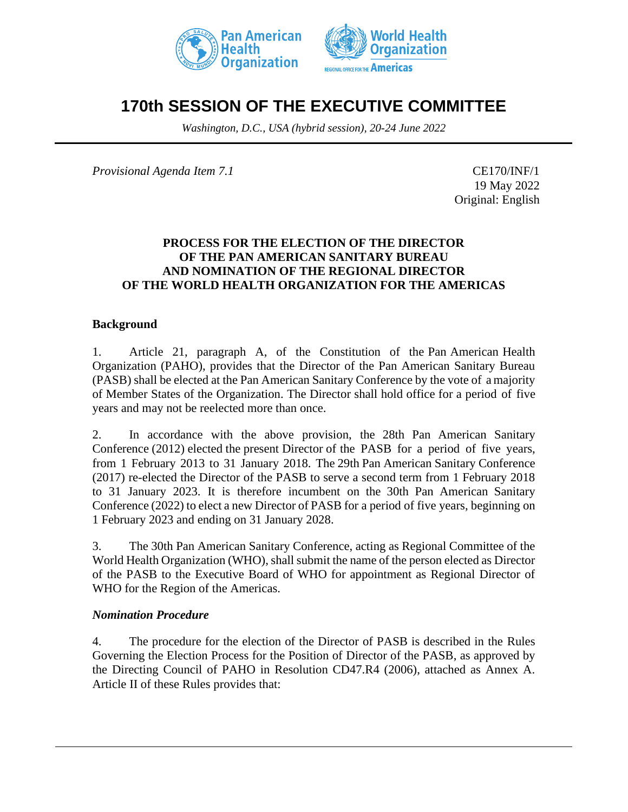



# **170th SESSION OF THE EXECUTIVE COMMITTEE**

*Washington, D.C., USA (hybrid session), 20-24 June 2022*

*Provisional Agenda Item 7.1* CE170/INF/1

19 May 2022 Original: English

### **PROCESS FOR THE ELECTION OF THE DIRECTOR OF THE PAN AMERICAN SANITARY BUREAU AND NOMINATION OF THE REGIONAL DIRECTOR OF THE WORLD HEALTH ORGANIZATION FOR THE AMERICAS**

### **Background**

1. Article 21, paragraph A, of the Constitution of the Pan American Health Organization (PAHO), provides that the Director of the Pan American Sanitary Bureau (PASB) shall be elected at the Pan American Sanitary Conference by the vote of a majority of Member States of the Organization. The Director shall hold office for a period of five years and may not be reelected more than once.

2. In accordance with the above provision, the 28th Pan American Sanitary Conference (2012) elected the present Director of the PASB for a period of five years, from 1 February 2013 to 31 January 2018. The 29th Pan American Sanitary Conference (2017) re-elected the Director of the PASB to serve a second term from 1 February 2018 to 31 January 2023. It is therefore incumbent on the 30th Pan American Sanitary Conference (2022) to elect a new Director of PASB for a period of five years, beginning on 1 February 2023 and ending on 31 January 2028.

3. The 30th Pan American Sanitary Conference, acting as Regional Committee of the World Health Organization (WHO), shall submit the name of the person elected as Director of the PASB to the Executive Board of WHO for appointment as Regional Director of WHO for the Region of the Americas.

#### *Nomination Procedure*

4. The procedure for the election of the Director of PASB is described in the Rules Governing the Election Process for the Position of Director of the PASB, as approved by the Directing Council of PAHO in Resolution CD47.R4 (2006), attached as Annex A. Article II of these Rules provides that: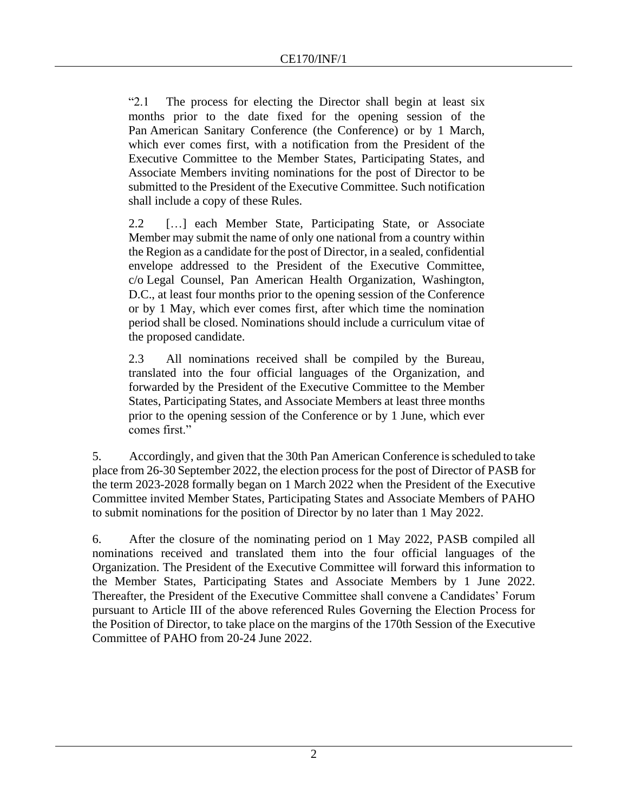"2.1 The process for electing the Director shall begin at least six months prior to the date fixed for the opening session of the Pan American Sanitary Conference (the Conference) or by 1 March, which ever comes first, with a notification from the President of the Executive Committee to the Member States, Participating States, and Associate Members inviting nominations for the post of Director to be submitted to the President of the Executive Committee. Such notification shall include a copy of these Rules.

2.2 […] each Member State, Participating State, or Associate Member may submit the name of only one national from a country within the Region as a candidate for the post of Director, in a sealed, confidential envelope addressed to the President of the Executive Committee, c/o Legal Counsel, Pan American Health Organization, Washington, D.C., at least four months prior to the opening session of the Conference or by 1 May, which ever comes first, after which time the nomination period shall be closed. Nominations should include a curriculum vitae of the proposed candidate.

2.3 All nominations received shall be compiled by the Bureau, translated into the four official languages of the Organization, and forwarded by the President of the Executive Committee to the Member States, Participating States, and Associate Members at least three months prior to the opening session of the Conference or by 1 June, which ever comes first."

5. Accordingly, and given that the 30th Pan American Conference isscheduled to take place from 26-30 September 2022, the election processfor the post of Director of PASB for the term 2023-2028 formally began on 1 March 2022 when the President of the Executive Committee invited Member States, Participating States and Associate Members of PAHO to submit nominations for the position of Director by no later than 1 May 2022.

6. After the closure of the nominating period on 1 May 2022, PASB compiled all nominations received and translated them into the four official languages of the Organization. The President of the Executive Committee will forward this information to the Member States, Participating States and Associate Members by 1 June 2022. Thereafter, the President of the Executive Committee shall convene a Candidates' Forum pursuant to Article III of the above referenced Rules Governing the Election Process for the Position of Director, to take place on the margins of the 170th Session of the Executive Committee of PAHO from 20-24 June 2022.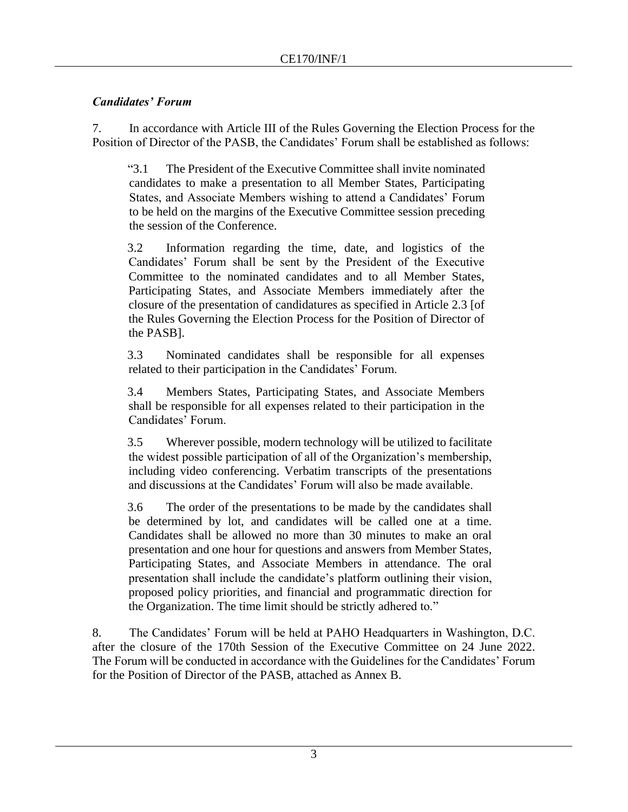## *Candidates' Forum*

7. In accordance with Article III of the Rules Governing the Election Process for the Position of Director of the PASB, the Candidates' Forum shall be established as follows:

"3.1 The President of the Executive Committee shall invite nominated candidates to make a presentation to all Member States, Participating States, and Associate Members wishing to attend a Candidates' Forum to be held on the margins of the Executive Committee session preceding the session of the Conference.

3.2 Information regarding the time, date, and logistics of the Candidates' Forum shall be sent by the President of the Executive Committee to the nominated candidates and to all Member States, Participating States, and Associate Members immediately after the closure of the presentation of candidatures as specified in Article 2.3 [of the Rules Governing the Election Process for the Position of Director of the PASB].

3.3 Nominated candidates shall be responsible for all expenses related to their participation in the Candidates' Forum.

3.4 Members States, Participating States, and Associate Members shall be responsible for all expenses related to their participation in the Candidates' Forum.

3.5 Wherever possible, modern technology will be utilized to facilitate the widest possible participation of all of the Organization's membership, including video conferencing. Verbatim transcripts of the presentations and discussions at the Candidates' Forum will also be made available.

3.6 The order of the presentations to be made by the candidates shall be determined by lot, and candidates will be called one at a time. Candidates shall be allowed no more than 30 minutes to make an oral presentation and one hour for questions and answers from Member States, Participating States, and Associate Members in attendance. The oral presentation shall include the candidate's platform outlining their vision, proposed policy priorities, and financial and programmatic direction for the Organization. The time limit should be strictly adhered to."

8. The Candidates' Forum will be held at PAHO Headquarters in Washington, D.C. after the closure of the 170th Session of the Executive Committee on 24 June 2022. The Forum will be conducted in accordance with the Guidelines for the Candidates' Forum for the Position of Director of the PASB, attached as Annex B.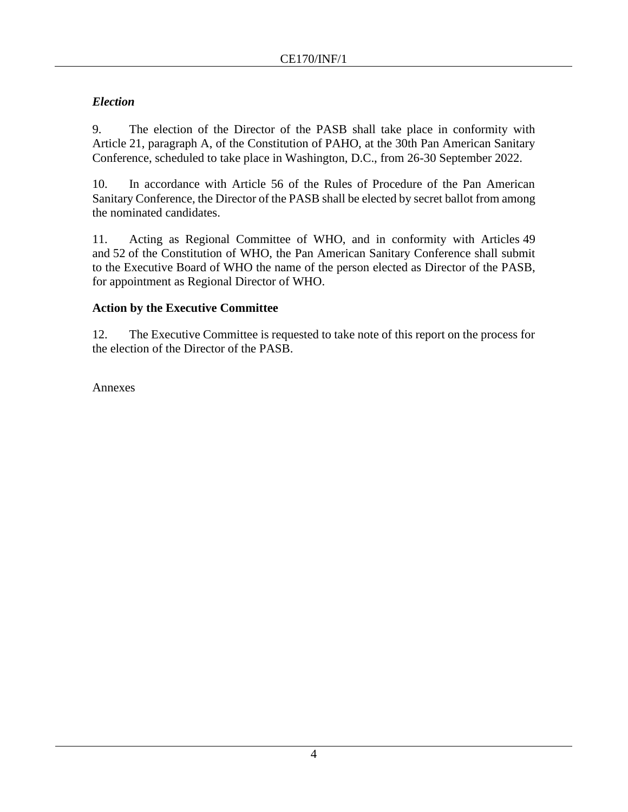## *Election*

9. The election of the Director of the PASB shall take place in conformity with Article 21, paragraph A, of the Constitution of PAHO, at the 30th Pan American Sanitary Conference, scheduled to take place in Washington, D.C., from 26-30 September 2022.

10. In accordance with Article 56 of the Rules of Procedure of the Pan American Sanitary Conference, the Director of the PASB shall be elected by secret ballot from among the nominated candidates.

11. Acting as Regional Committee of WHO, and in conformity with Articles 49 and 52 of the Constitution of WHO, the Pan American Sanitary Conference shall submit to the Executive Board of WHO the name of the person elected as Director of the PASB, for appointment as Regional Director of WHO.

## **Action by the Executive Committee**

12. The Executive Committee is requested to take note of this report on the process for the election of the Director of the PASB.

Annexes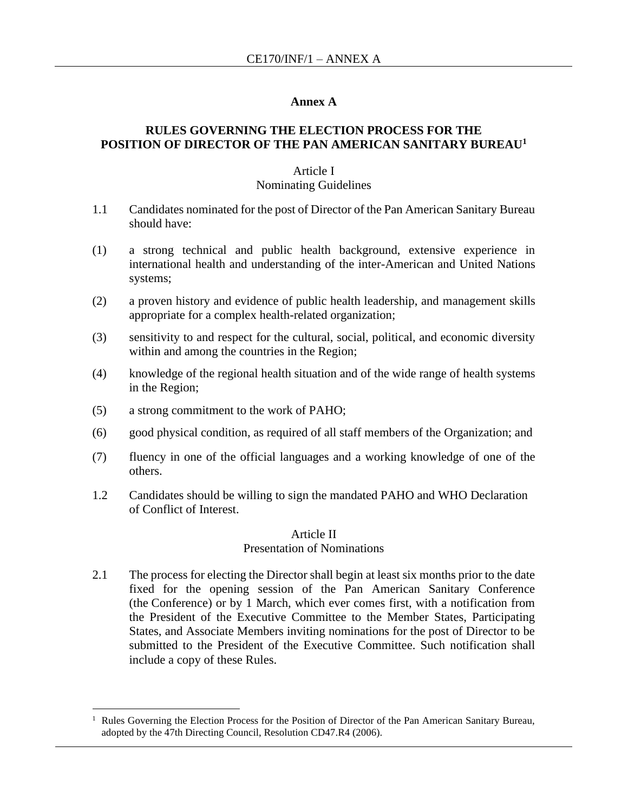#### **Annex A**

### **RULES GOVERNING THE ELECTION PROCESS FOR THE POSITION OF DIRECTOR OF THE PAN AMERICAN SANITARY BUREAU<sup>1</sup>**

#### Article I

#### Nominating Guidelines

- 1.1 Candidates nominated for the post of Director of the Pan American Sanitary Bureau should have:
- (1) a strong technical and public health background, extensive experience in international health and understanding of the inter-American and United Nations systems;
- (2) a proven history and evidence of public health leadership, and management skills appropriate for a complex health-related organization;
- (3) sensitivity to and respect for the cultural, social, political, and economic diversity within and among the countries in the Region;
- (4) knowledge of the regional health situation and of the wide range of health systems in the Region;
- (5) a strong commitment to the work of PAHO;
- (6) good physical condition, as required of all staff members of the Organization; and
- (7) fluency in one of the official languages and a working knowledge of one of the others.
- 1.2 Candidates should be willing to sign the mandated PAHO and WHO Declaration of Conflict of Interest.

#### Article II Presentation of Nominations

2.1 The process for electing the Director shall begin at least six months prior to the date fixed for the opening session of the Pan American Sanitary Conference (the Conference) or by 1 March, which ever comes first, with a notification from the President of the Executive Committee to the Member States, Participating States, and Associate Members inviting nominations for the post of Director to be submitted to the President of the Executive Committee. Such notification shall include a copy of these Rules.

<sup>1</sup> Rules Governing the Election Process for the Position of Director of the Pan American Sanitary Bureau, adopted by the 47th Directing Council, Resolution CD47.R4 (2006).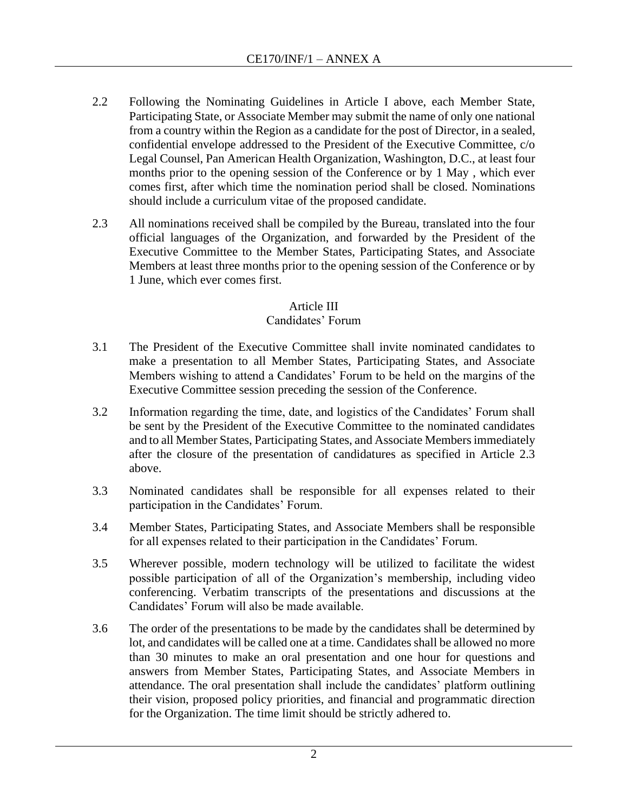- 2.2 Following the Nominating Guidelines in Article I above, each Member State, Participating State, or Associate Member may submit the name of only one national from a country within the Region as a candidate for the post of Director, in a sealed, confidential envelope addressed to the President of the Executive Committee, c/o Legal Counsel, Pan American Health Organization, Washington, D.C., at least four months prior to the opening session of the Conference or by 1 May , which ever comes first, after which time the nomination period shall be closed. Nominations should include a curriculum vitae of the proposed candidate.
- 2.3 All nominations received shall be compiled by the Bureau, translated into the four official languages of the Organization, and forwarded by the President of the Executive Committee to the Member States, Participating States, and Associate Members at least three months prior to the opening session of the Conference or by 1 June, which ever comes first.

## Article III

### Candidates' Forum

- 3.1 The President of the Executive Committee shall invite nominated candidates to make a presentation to all Member States, Participating States, and Associate Members wishing to attend a Candidates' Forum to be held on the margins of the Executive Committee session preceding the session of the Conference.
- 3.2 Information regarding the time, date, and logistics of the Candidates' Forum shall be sent by the President of the Executive Committee to the nominated candidates and to all Member States, Participating States, and Associate Members immediately after the closure of the presentation of candidatures as specified in Article 2.3 above.
- 3.3 Nominated candidates shall be responsible for all expenses related to their participation in the Candidates' Forum.
- 3.4 Member States, Participating States, and Associate Members shall be responsible for all expenses related to their participation in the Candidates' Forum.
- 3.5 Wherever possible, modern technology will be utilized to facilitate the widest possible participation of all of the Organization's membership, including video conferencing. Verbatim transcripts of the presentations and discussions at the Candidates' Forum will also be made available.
- 3.6 The order of the presentations to be made by the candidates shall be determined by lot, and candidates will be called one at a time. Candidates shall be allowed no more than 30 minutes to make an oral presentation and one hour for questions and answers from Member States, Participating States, and Associate Members in attendance. The oral presentation shall include the candidates' platform outlining their vision, proposed policy priorities, and financial and programmatic direction for the Organization. The time limit should be strictly adhered to.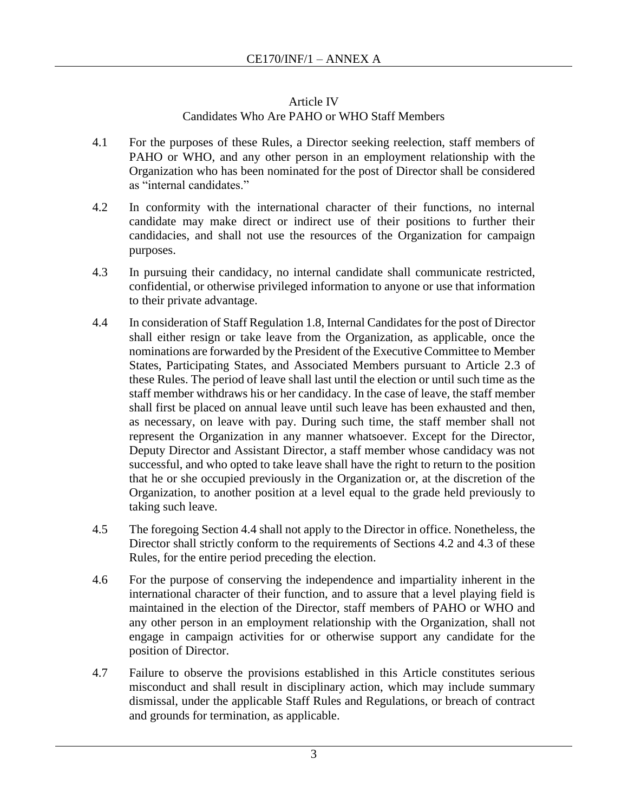### Article IV

## Candidates Who Are PAHO or WHO Staff Members

- 4.1 For the purposes of these Rules, a Director seeking reelection, staff members of PAHO or WHO, and any other person in an employment relationship with the Organization who has been nominated for the post of Director shall be considered as "internal candidates."
- 4.2 In conformity with the international character of their functions, no internal candidate may make direct or indirect use of their positions to further their candidacies, and shall not use the resources of the Organization for campaign purposes.
- 4.3 In pursuing their candidacy, no internal candidate shall communicate restricted, confidential, or otherwise privileged information to anyone or use that information to their private advantage.
- 4.4 In consideration of Staff Regulation 1.8, Internal Candidates for the post of Director shall either resign or take leave from the Organization, as applicable, once the nominations are forwarded by the President of the Executive Committee to Member States, Participating States, and Associated Members pursuant to Article 2.3 of these Rules. The period of leave shall last until the election or until such time as the staff member withdraws his or her candidacy. In the case of leave, the staff member shall first be placed on annual leave until such leave has been exhausted and then, as necessary, on leave with pay. During such time, the staff member shall not represent the Organization in any manner whatsoever. Except for the Director, Deputy Director and Assistant Director, a staff member whose candidacy was not successful, and who opted to take leave shall have the right to return to the position that he or she occupied previously in the Organization or, at the discretion of the Organization, to another position at a level equal to the grade held previously to taking such leave.
- 4.5 The foregoing Section 4.4 shall not apply to the Director in office. Nonetheless, the Director shall strictly conform to the requirements of Sections 4.2 and 4.3 of these Rules, for the entire period preceding the election.
- 4.6 For the purpose of conserving the independence and impartiality inherent in the international character of their function, and to assure that a level playing field is maintained in the election of the Director, staff members of PAHO or WHO and any other person in an employment relationship with the Organization, shall not engage in campaign activities for or otherwise support any candidate for the position of Director.
- 4.7 Failure to observe the provisions established in this Article constitutes serious misconduct and shall result in disciplinary action, which may include summary dismissal, under the applicable Staff Rules and Regulations, or breach of contract and grounds for termination, as applicable.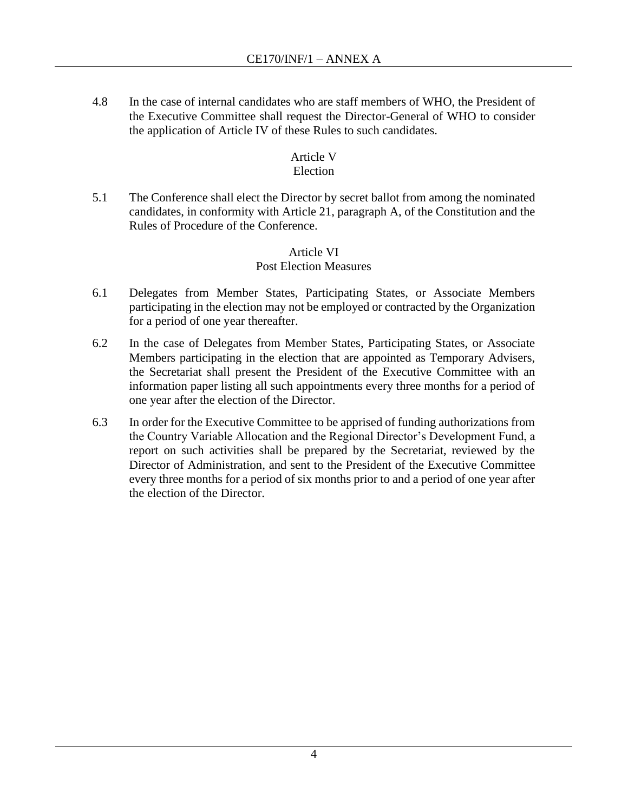4.8 In the case of internal candidates who are staff members of WHO, the President of the Executive Committee shall request the Director-General of WHO to consider the application of Article IV of these Rules to such candidates.

### Article V

## Election

5.1 The Conference shall elect the Director by secret ballot from among the nominated candidates, in conformity with Article 21, paragraph A, of the Constitution and the Rules of Procedure of the Conference.

### Article VI Post Election Measures

- 6.1 Delegates from Member States, Participating States, or Associate Members participating in the election may not be employed or contracted by the Organization for a period of one year thereafter.
- 6.2 In the case of Delegates from Member States, Participating States, or Associate Members participating in the election that are appointed as Temporary Advisers, the Secretariat shall present the President of the Executive Committee with an information paper listing all such appointments every three months for a period of one year after the election of the Director.
- 6.3 In order for the Executive Committee to be apprised of funding authorizations from the Country Variable Allocation and the Regional Director's Development Fund, a report on such activities shall be prepared by the Secretariat, reviewed by the Director of Administration, and sent to the President of the Executive Committee every three months for a period of six months prior to and a period of one year after the election of the Director.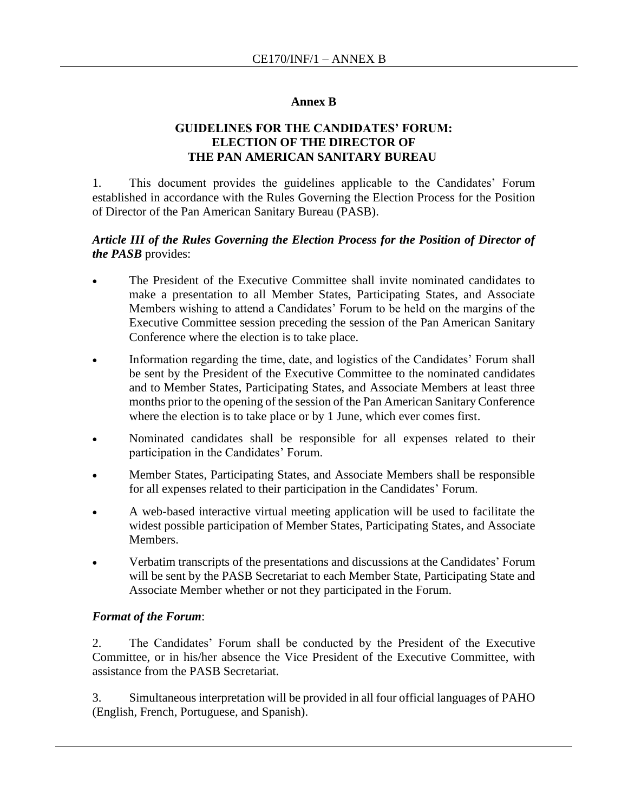#### **Annex B**

### **GUIDELINES FOR THE CANDIDATES' FORUM: ELECTION OF THE DIRECTOR OF THE PAN AMERICAN SANITARY BUREAU**

1. This document provides the guidelines applicable to the Candidates' Forum established in accordance with the Rules Governing the Election Process for the Position of Director of the Pan American Sanitary Bureau (PASB).

#### *Article III of the Rules Governing the Election Process for the Position of Director of the PASB* provides:

- The President of the Executive Committee shall invite nominated candidates to make a presentation to all Member States, Participating States, and Associate Members wishing to attend a Candidates' Forum to be held on the margins of the Executive Committee session preceding the session of the Pan American Sanitary Conference where the election is to take place.
- Information regarding the time, date, and logistics of the Candidates' Forum shall be sent by the President of the Executive Committee to the nominated candidates and to Member States, Participating States, and Associate Members at least three months prior to the opening of the session of the Pan American Sanitary Conference where the election is to take place or by 1 June, which ever comes first.
- Nominated candidates shall be responsible for all expenses related to their participation in the Candidates' Forum.
- Member States, Participating States, and Associate Members shall be responsible for all expenses related to their participation in the Candidates' Forum.
- A web-based interactive virtual meeting application will be used to facilitate the widest possible participation of Member States, Participating States, and Associate Members.
- Verbatim transcripts of the presentations and discussions at the Candidates' Forum will be sent by the PASB Secretariat to each Member State, Participating State and Associate Member whether or not they participated in the Forum.

#### *Format of the Forum*:

2. The Candidates' Forum shall be conducted by the President of the Executive Committee, or in his/her absence the Vice President of the Executive Committee, with assistance from the PASB Secretariat.

3. Simultaneous interpretation will be provided in all four official languages of PAHO (English, French, Portuguese, and Spanish).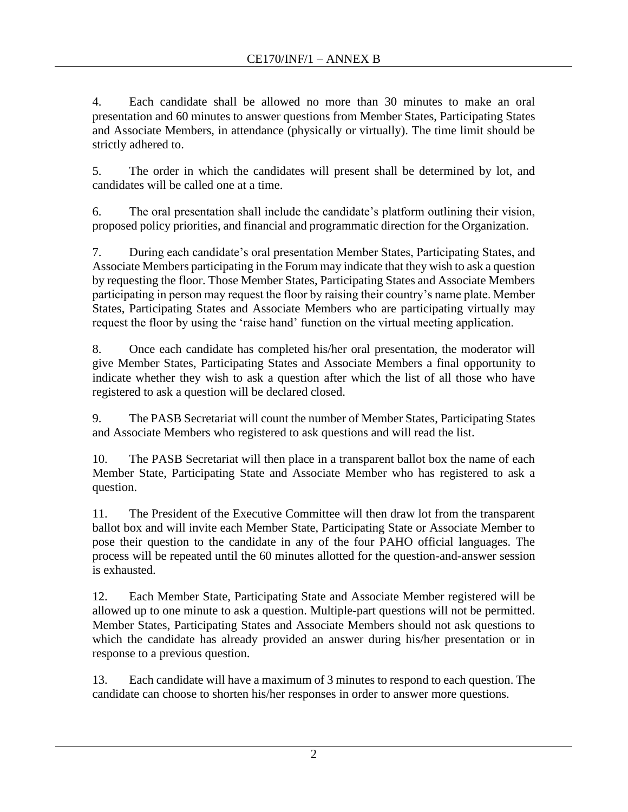4. Each candidate shall be allowed no more than 30 minutes to make an oral presentation and 60 minutes to answer questions from Member States, Participating States and Associate Members, in attendance (physically or virtually). The time limit should be strictly adhered to.

5. The order in which the candidates will present shall be determined by lot, and candidates will be called one at a time.

6. The oral presentation shall include the candidate's platform outlining their vision, proposed policy priorities, and financial and programmatic direction for the Organization.

7. During each candidate's oral presentation Member States, Participating States, and Associate Members participating in the Forum may indicate that they wish to ask a question by requesting the floor. Those Member States, Participating States and Associate Members participating in person may request the floor by raising their country's name plate. Member States, Participating States and Associate Members who are participating virtually may request the floor by using the 'raise hand' function on the virtual meeting application.

8. Once each candidate has completed his/her oral presentation, the moderator will give Member States, Participating States and Associate Members a final opportunity to indicate whether they wish to ask a question after which the list of all those who have registered to ask a question will be declared closed.

9. The PASB Secretariat will count the number of Member States, Participating States and Associate Members who registered to ask questions and will read the list.

10. The PASB Secretariat will then place in a transparent ballot box the name of each Member State, Participating State and Associate Member who has registered to ask a question.

11. The President of the Executive Committee will then draw lot from the transparent ballot box and will invite each Member State, Participating State or Associate Member to pose their question to the candidate in any of the four PAHO official languages. The process will be repeated until the 60 minutes allotted for the question-and-answer session is exhausted.

12. Each Member State, Participating State and Associate Member registered will be allowed up to one minute to ask a question. Multiple-part questions will not be permitted. Member States, Participating States and Associate Members should not ask questions to which the candidate has already provided an answer during his/her presentation or in response to a previous question.

13. Each candidate will have a maximum of 3 minutes to respond to each question. The candidate can choose to shorten his/her responses in order to answer more questions.